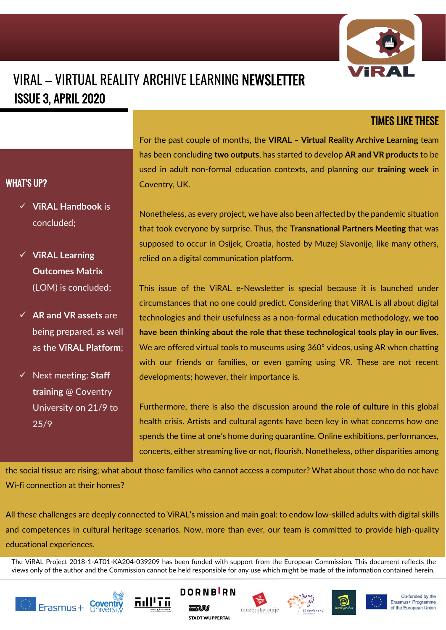

## VIRAL – VIRTUAL REALITY ARCHIVE LEARNING NEWSLETTER ISSUE 3, APRIL 2020

## TIMES LIKE THESE

For the past couple of months, the **VIRAL – Virtual Reality Archive Learning** team has been concluding **two outputs**, has started to develop **AR and VR products** to be used in adult non-formal education contexts, and planning our **training week** in Coventry, UK.

✓ **ViRAL Handbook** is concluded;

WHAT'S UP?

- ✓ **ViRAL Learning Outcomes Matrix** (LOM) is concluded;
- ✓ **AR and VR assets** are being prepared, as well as the **ViRAL Platform**;
- ✓ Next meeting: **Staff training** @ Coventry University on 21/9 to 25/9

Nonetheless, as every project, we have also been affected by the pandemic situation that took everyone by surprise. Thus, the **Transnational Partners Meeting** that was supposed to occur in Osijek, Croatia, hosted by Muzej Slavonije, like many others, relied on a digital communication platform.

This issue of the ViRAL e-Newsletter is special because it is launched under circumstances that no one could predict. Considering that ViRAL is all about digital technologies and their usefulness as a non-formal education methodology, **we too have been thinking about the role that these technological tools play in our lives.** We are offered virtual tools to museums using 360° videos, using AR when chatting with our friends or families, or even gaming using VR. These are not recent developments; however, their importance is.

Furthermore, there is also the discussion around **the role of culture** in this global health crisis. Artists and cultural agents have been key in what concerns how one spends the time at one's home during quarantine. Online exhibitions, performances, concerts, either streaming live or not, flourish. Nonetheless, other disparities among

the social tissue are rising; what about those families who cannot access a computer? What about those who do not have Wi-fi connection at their homes?

All these challenges are deeply connected to ViRAL's mission and main goal: to endow low-skilled adults with digital skills and competences in cultural heritage scenarios. Now, more than ever, our team is committed to provide high-quality educational experiences.

The ViRAL Project 2018-1-AT01-KA204-039209 has been funded with support from the European Commission. This document reflects the views only of the author and the Commission cannot be held responsible for any use which might be made of the information contained herein.